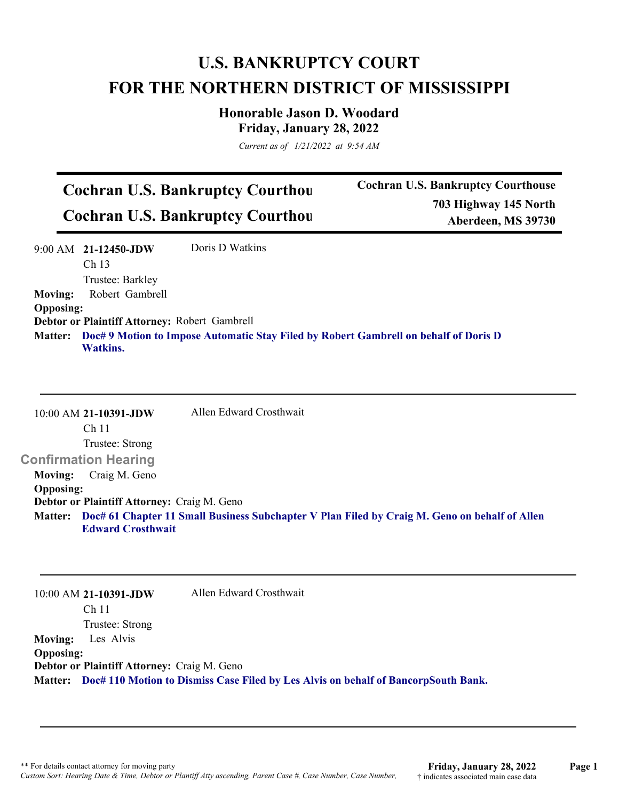## **U.S. BANKRUPTCY COURT FOR THE NORTHERN DISTRICT OF MISSISSIPPI**

**Honorable Jason D. Woodard Friday, January 28, 2022**

*Current as of 1/21/2022 at 9:54 AM*

## **Cochran U.S. Bankruptcy Courthou Cochran U.S. Bankruptcy Courthou**

**Cochran U.S. Bankruptcy Courthouse 703 Highway 145 North Aberdeen, MS 39730**

|                  | 9:00 AM 21-12450-JDW                          | Doris D Watkins                                                                              |
|------------------|-----------------------------------------------|----------------------------------------------------------------------------------------------|
|                  | Ch <sub>13</sub>                              |                                                                                              |
|                  | Trustee: Barkley                              |                                                                                              |
| <b>Moving:</b>   | Robert Gambrell                               |                                                                                              |
| <b>Opposing:</b> |                                               |                                                                                              |
|                  | Debtor or Plaintiff Attorney: Robert Gambrell |                                                                                              |
|                  | <b>Watkins.</b>                               | Matter: Doc# 9 Motion to Impose Automatic Stay Filed by Robert Gambrell on behalf of Doris D |

10:00 AM **21-10391-JDW**  Ch 11 Trustee: Strong **Confirmation Hearing**  Allen Edward Crosthwait **Moving:** Craig M. Geno **Opposing: Debtor or Plaintiff Attorney:** Craig M. Geno **Doc# 61 Chapter 11 Small Business Subchapter V Plan Filed by Craig M. Geno on behalf of Allen Matter: Edward Crosthwait**

|                          | Allen Edward Crosthwait<br>10:00 AM 21-10391-JDW                                           |  |
|--------------------------|--------------------------------------------------------------------------------------------|--|
|                          | Ch 11                                                                                      |  |
|                          | Trustee: Strong                                                                            |  |
| <b>Moving:</b> Les Alvis |                                                                                            |  |
| <b>Opposing:</b>         |                                                                                            |  |
|                          | Debtor or Plaintiff Attorney: Craig M. Geno                                                |  |
|                          | Matter: Doc# 110 Motion to Dismiss Case Filed by Les Alvis on behalf of BancorpSouth Bank. |  |